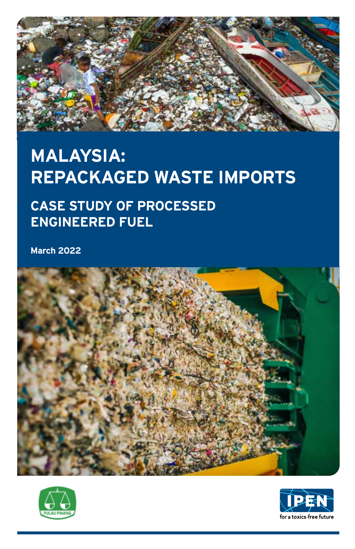

## **MALAYSIA: REPACKAGED WASTE IMPORTS**

## **CASE STUDY OF PROCESSED ENGINEERED FUEL**

**March 2022**





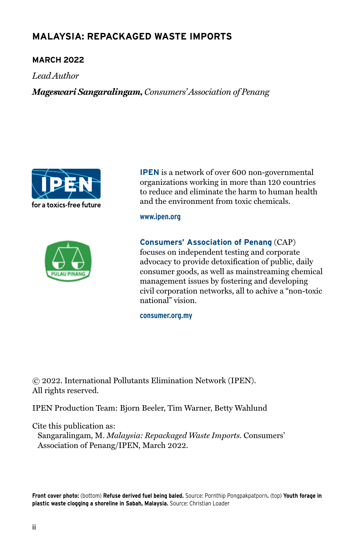## **MALAYSIA: REPACKAGED WASTE IMPORTS**

#### **March 2022**

*Lead Author*

*Mageswari Sangaralingam, Consumers' Association of Penang*





**IPEN** is a network of over 600 non-governmental organizations working in more than 120 countries to reduce and eliminate the harm to human health and the environment from toxic chemicals.

**www.ipen.org**

**Consumers' Association of Penang** (CAP) focuses on independent testing and corporate advocacy to provide detoxification of public, daily consumer goods, as well as mainstreaming chemical management issues by fostering and developing civil corporation networks, all to achive a "non-toxic national" vision.

**consumer.org.my**

© 2022. International Pollutants Elimination Network (IPEN). All rights reserved.

IPEN Production Team: Bjorn Beeler, Tim Warner, Betty Wahlund

Cite this publication as:

Sangaralingam, M. *Malaysia: Repackaged Waste Imports.* Consumers' Association of Penang/IPEN, March 2022.

**Front cover photo:** (bottom) **Refuse derived fuel being baled.** Source: Pornthip Pongpakpatporn**.** (top) **Youth forage in plastic waste clogging a shoreline in Sabah, Malaysia.** Source: Christian Loader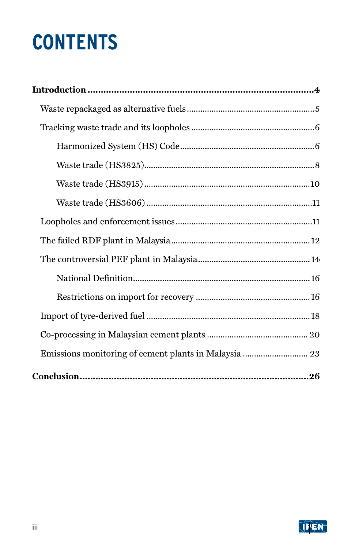# **CONTENTS**

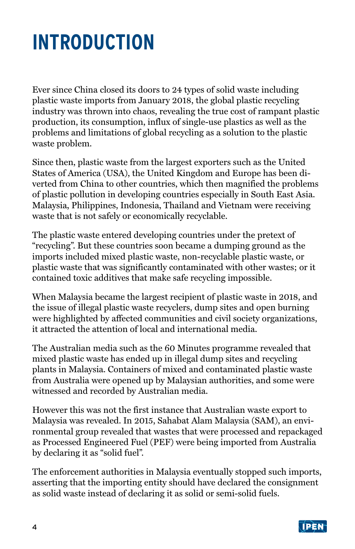## <span id="page-3-0"></span>**INTRODUCTION**

Ever since China closed its doors to 24 types of solid waste including plastic waste imports from January 2018, the global plastic recycling industry was thrown into chaos, revealing the true cost of rampant plastic production, its consumption, influx of single-use plastics as well as the problems and limitations of global recycling as a solution to the plastic waste problem.

Since then, plastic waste from the largest exporters such as the United States of America (USA), the United Kingdom and Europe has been diverted from China to other countries, which then magnified the problems of plastic pollution in developing countries especially in South East Asia. Malaysia, Philippines, Indonesia, Thailand and Vietnam were receiving waste that is not safely or economically recyclable.

The plastic waste entered developing countries under the pretext of "recycling". But these countries soon became a dumping ground as the imports included mixed plastic waste, non-recyclable plastic waste, or plastic waste that was significantly contaminated with other wastes; or it contained toxic additives that make safe recycling impossible.

When Malaysia became the largest recipient of plastic waste in 2018, and the issue of illegal plastic waste recyclers, dump sites and open burning were highlighted by affected communities and civil society organizations, it attracted the attention of local and international media.

The Australian media such as the 60 Minutes programme revealed that mixed plastic waste has ended up in illegal dump sites and recycling plants in Malaysia. Containers of mixed and contaminated plastic waste from Australia were opened up by Malaysian authorities, and some were witnessed and recorded by Australian media.

However this was not the first instance that Australian waste export to Malaysia was revealed. In 2015, Sahabat Alam Malaysia (SAM), an environmental group revealed that wastes that were processed and repackaged as Processed Engineered Fuel (PEF) were being imported from Australia by declaring it as "solid fuel".

The enforcement authorities in Malaysia eventually stopped such imports, asserting that the importing entity should have declared the consignment as solid waste instead of declaring it as solid or semi-solid fuels.

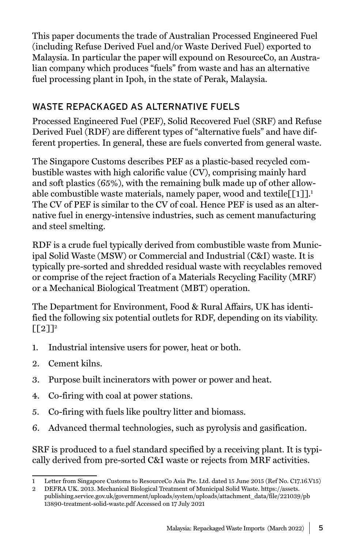<span id="page-4-0"></span>This paper documents the trade of Australian Processed Engineered Fuel (including Refuse Derived Fuel and/or Waste Derived Fuel) exported to Malaysia. In particular the paper will expound on ResourceCo, an Australian company which produces "fuels" from waste and has an alternative fuel processing plant in Ipoh, in the state of Perak, Malaysia.

## WASTE REPACKAGED AS ALTERNATIVE FUELS

Processed Engineered Fuel (PEF), Solid Recovered Fuel (SRF) and Refuse Derived Fuel (RDF) are different types of "alternative fuels" and have different properties. In general, these are fuels converted from general waste.

The Singapore Customs describes PEF as a plastic-based recycled combustible wastes with high calorific value (CV), comprising mainly hard and soft plastics (65%), with the remaining bulk made up of other allowable combustible waste materials, namely paper, wood and textile $[[1]]$ .<sup>1</sup> The CV of PEF is similar to the CV of coal. Hence PEF is used as an alternative fuel in energy-intensive industries, such as cement manufacturing and steel smelting.

RDF is a crude fuel typically derived from combustible waste from Municipal Solid Waste (MSW) or Commercial and Industrial (C&I) waste. It is typically pre-sorted and shredded residual waste with recyclables removed or comprise of the reject fraction of a Materials Recycling Facility (MRF) or a Mechanical Biological Treatment (MBT) operation.

The Department for Environment, Food & Rural Affairs, UK has identified the following six potential outlets for RDF, depending on its viability.  $\lceil [2] \rceil^2$ 

- 1. Industrial intensive users for power, heat or both.
- 2. Cement kilns.
- 3. Purpose built incinerators with power or power and heat.
- 4. Co-firing with coal at power stations.
- 5. Co-firing with fuels like poultry litter and biomass.
- 6. Advanced thermal technologies, such as pyrolysis and gasification.

SRF is produced to a fuel standard specified by a receiving plant. It is typically derived from pre-sorted C&I waste or rejects from MRF activities.

<sup>1</sup> Letter from Singapore Customs to ResourceCo Asia Pte. Ltd. dated 15 June 2015 (Ref No. C17.16.V15)

<sup>2</sup> DEFRA UK. 2013. Mechanical Biological Treatment of Municipal Solid Waste. https://assets. publishing.service.gov.uk/government/uploads/system/uploads/attachment\_data/file/221039/pb 13890-treatment-solid-waste.pdf Accessed on 17 July 2021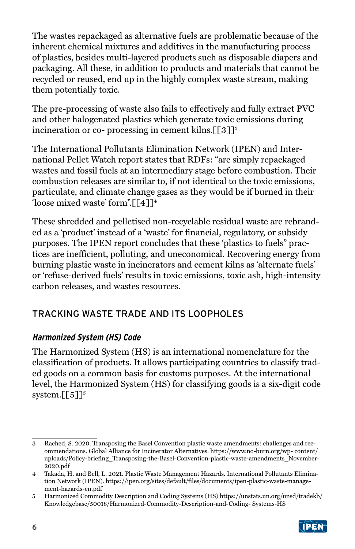<span id="page-5-0"></span>The wastes repackaged as alternative fuels are problematic because of the inherent chemical mixtures and additives in the manufacturing process of plastics, besides multi-layered products such as disposable diapers and packaging. All these, in addition to products and materials that cannot be recycled or reused, end up in the highly complex waste stream, making them potentially toxic.

The pre-processing of waste also fails to effectively and fully extract PVC and other halogenated plastics which generate toxic emissions during incineration or co- processing in cement kilns. $[53]$ <sup>3</sup>

The International Pollutants Elimination Network (IPEN) and International Pellet Watch report states that RDFs: "are simply repackaged wastes and fossil fuels at an intermediary stage before combustion. Their combustion releases are similar to, if not identical to the toxic emissions, particulate, and climate change gases as they would be if burned in their 'loose mixed waste' form".[[4]]<sup>4</sup>

These shredded and pelletised non-recyclable residual waste are rebranded as a 'product' instead of a 'waste' for financial, regulatory, or subsidy purposes. The IPEN report concludes that these 'plastics to fuels" practices are inefficient, polluting, and uneconomical. Recovering energy from burning plastic waste in incinerators and cement kilns as 'alternate fuels' or 'refuse-derived fuels' results in toxic emissions, toxic ash, high-intensity carbon releases, and wastes resources.

## TRACKING WASTE TRADE AND ITS LOOPHOLES

#### **Harmonized System (HS) Code**

The Harmonized System (HS) is an international nomenclature for the classification of products. It allows participating countries to classify traded goods on a common basis for customs purposes. At the international level, the Harmonized System (HS) for classifying goods is a six-digit code system. $[5]$ <sup>5</sup>

<sup>5</sup> Harmonized Commodity Description and Coding Systems (HS) https://unstats.un.org/unsd/tradekb/ Knowledgebase/50018/Harmonized-Commodity-Description-and-Coding- Systems-HS



<sup>3</sup> Rached, S. 2020. Transposing the Basel Convention plastic waste amendments: challenges and recommendations. Global Alliance for Incinerator Alternatives. https://www.no-burn.org/wp- content/ uploads/Policy-briefing\_Transposing-the-Basel-Convention-plastic-waste-amendments\_November-2020.pdf

<sup>4</sup> Takada, H. and Bell, L. 2021. Plastic Waste Management Hazards. International Pollutants Elimination Network (IPEN). https://ipen.org/sites/default/files/documents/ipen-plastic-waste-management-hazards-en.pdf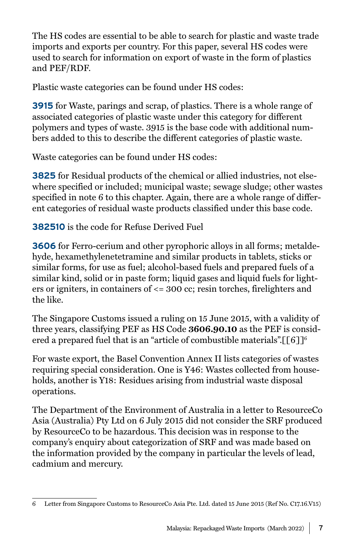The HS codes are essential to be able to search for plastic and waste trade imports and exports per country. For this paper, several HS codes were used to search for information on export of waste in the form of plastics and PEF/RDF.

Plastic waste categories can be found under HS codes:

**3915** for Waste, parings and scrap, of plastics. There is a whole range of associated categories of plastic waste under this category for different polymers and types of waste. 3915 is the base code with additional numbers added to this to describe the different categories of plastic waste.

Waste categories can be found under HS codes:

**3825** for Residual products of the chemical or allied industries, not elsewhere specified or included; municipal waste; sewage sludge; other wastes specified in note 6 to this chapter. Again, there are a whole range of different categories of residual waste products classified under this base code.

**382510** is the code for Refuse Derived Fuel

**3606** for Ferro-cerium and other pyrophoric alloys in all forms; metaldehyde, hexamethylenetetramine and similar products in tablets, sticks or similar forms, for use as fuel; alcohol-based fuels and prepared fuels of a similar kind, solid or in paste form; liquid gases and liquid fuels for lighters or igniters, in containers of <= 300 cc; resin torches, firelighters and the like.

The Singapore Customs issued a ruling on 15 June 2015, with a validity of three years, classifying PEF as HS Code **3606.90.10** as the PEF is considered a prepared fuel that is an "article of combustible materials". [[6]]<sup>6</sup>

For waste export, the Basel Convention Annex II lists categories of wastes requiring special consideration. One is Y46: Wastes collected from households, another is Y18: Residues arising from industrial waste disposal operations.

The Department of the Environment of Australia in a letter to ResourceCo Asia (Australia) Pty Ltd on 6 July 2015 did not consider the SRF produced by ResourceCo to be hazardous. This decision was in response to the company's enquiry about categorization of SRF and was made based on the information provided by the company in particular the levels of lead, cadmium and mercury.

<sup>6</sup> Letter from Singapore Customs to ResourceCo Asia Pte. Ltd. dated 15 June 2015 (Ref No. C17.16.V15)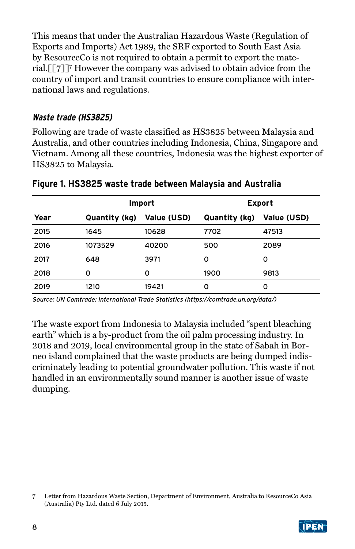<span id="page-7-0"></span>This means that under the Australian Hazardous Waste (Regulation of Exports and Imports) Act 1989, the SRF exported to South East Asia by ResourceCo is not required to obtain a permit to export the material.[[7]]7 However the company was advised to obtain advice from the country of import and transit countries to ensure compliance with international laws and regulations.

#### **Waste trade (HS3825)**

Following are trade of waste classified as HS3825 between Malaysia and Australia, and other countries including Indonesia, China, Singapore and Vietnam. Among all these countries, Indonesia was the highest exporter of HS3825 to Malaysia.

|      | Import        |             | Export        |             |
|------|---------------|-------------|---------------|-------------|
| Year | Quantity (kg) | Value (USD) | Quantity (kg) | Value (USD) |
| 2015 | 1645          | 10628       | 7702          | 47513       |
| 2016 | 1073529       | 40200       | 500           | 2089        |
| 2017 | 648           | 3971        | Ω             | o           |
| 2018 | o             | Ω           | 1900          | 9813        |
| 2019 | 1210          | 19421       | Ω             | 0           |

#### **Figure 1. HS3825 waste trade between Malaysia and Australia**

Source: UN Comtrade: International Trade Statistics (https://comtrade.un.org/data/)

The waste export from Indonesia to Malaysia included "spent bleaching earth" which is a by-product from the oil palm processing industry. In 2018 and 2019, local environmental group in the state of Sabah in Borneo island complained that the waste products are being dumped indiscriminately leading to potential groundwater pollution. This waste if not handled in an environmentally sound manner is another issue of waste dumping.

<sup>7</sup> Letter from Hazardous Waste Section, Department of Environment, Australia to ResourceCo Asia (Australia) Pty Ltd. dated 6 July 2015.

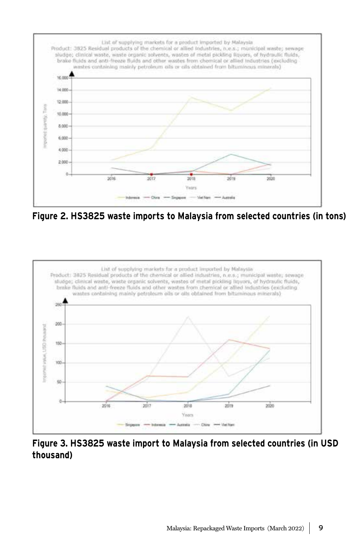

**Figure 2. HS3825 waste imports to Malaysia from selected countries (in tons)**



**Figure 3. HS3825 waste import to Malaysia from selected countries (in USD thousand)**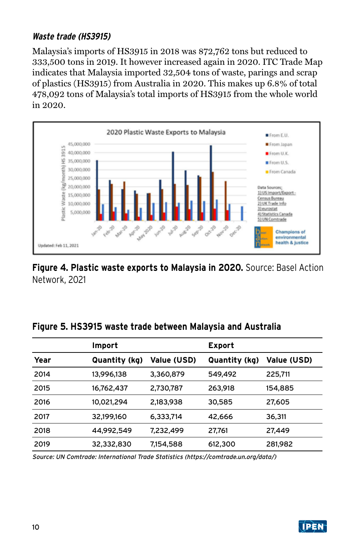### <span id="page-9-0"></span>**Waste trade (HS3915)**

Malaysia's imports of HS3915 in 2018 was 872,762 tons but reduced to 333,500 tons in 2019. It however increased again in 2020. ITC Trade Map indicates that Malaysia imported 32,504 tons of waste, parings and scrap of plastics (HS3915) from Australia in 2020. This makes up 6.8% of total 478,092 tons of Malaysia's total imports of HS3915 from the whole world in 2020.



### **Figure 4. Plastic waste exports to Malaysia in 2020.** Source: Basel Action Network, 2021

| Figure 5. HS3915 waste trade between Malaysia and Australia |
|-------------------------------------------------------------|
|-------------------------------------------------------------|

|      | Import        |                    | Export        |                    |
|------|---------------|--------------------|---------------|--------------------|
| Year | Quantity (kg) | <b>Value (USD)</b> | Quantity (kg) | <b>Value (USD)</b> |
| 2014 | 13,996,138    | 3,360,879          | 549,492       | 225.711            |
| 2015 | 16.762.437    | 2,730,787          | 263.918       | 154,885            |
| 2016 | 10,021,294    | 2,183,938          | 30,585        | 27.605             |
| 2017 | 32.199.160    | 6.333.714          | 42,666        | 36,311             |
| 2018 | 44.992.549    | 7.232.499          | 27,761        | 27.449             |
| 2019 | 32,332,830    | 7,154,588          | 612,300       | 281,982            |

Source: UN Comtrade: International Trade Statistics (https://comtrade.un.org/data/)

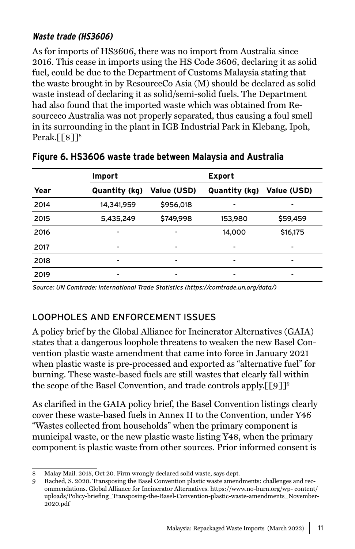### <span id="page-10-0"></span>**Waste trade (HS3606)**

As for imports of HS3606, there was no import from Australia since 2016. This cease in imports using the HS Code 3606, declaring it as solid fuel, could be due to the Department of Customs Malaysia stating that the waste brought in by ResourceCo Asia (M) should be declared as solid waste instead of declaring it as solid/semi-solid fuels. The Department had also found that the imported waste which was obtained from Resourceco Australia was not properly separated, thus causing a foul smell in its surrounding in the plant in IGB Industrial Park in Klebang, Ipoh, Perak. $[$ [8]]<sup>8</sup>

|      | Import        |                    | <b>Export</b> |                          |
|------|---------------|--------------------|---------------|--------------------------|
| Year | Quantity (kg) | <b>Value (USD)</b> | Quantity (kg) | Value (USD)              |
| 2014 | 14,341,959    | \$956,018          |               |                          |
| 2015 | 5,435,249     | \$749,998          | 153,980       | \$59,459                 |
| 2016 | -             | -                  | 14,000        | \$16,175                 |
| 2017 | -             | -                  | ۰             | $\overline{\phantom{0}}$ |
| 2018 | -             | -                  | ۰             | $\overline{\phantom{0}}$ |
| 2019 | -             | -                  | ۰             | -                        |

#### **Figure 6. HS3606 waste trade between Malaysia and Australia**

Source: UN Comtrade: International Trade Statistics (https://comtrade.un.org/data/)

## LOOPHOLES AND ENFORCEMENT ISSUES

A policy brief by the Global Alliance for Incinerator Alternatives (GAIA) states that a dangerous loophole threatens to weaken the new Basel Convention plastic waste amendment that came into force in January 2021 when plastic waste is pre-processed and exported as "alternative fuel" for burning. These waste-based fuels are still wastes that clearly fall within the scope of the Basel Convention, and trade controls apply. [[9]]<sup>9</sup>

As clarified in the GAIA policy brief, the Basel Convention listings clearly cover these waste-based fuels in Annex II to the Convention, under Y46 "Wastes collected from households" when the primary component is municipal waste, or the new plastic waste listing Y48, when the primary component is plastic waste from other sources. Prior informed consent is

<sup>8</sup> Malay Mail. 2015, Oct 20. Firm wrongly declared solid waste, says dept.

<sup>9</sup> Rached, S. 2020. Transposing the Basel Convention plastic waste amendments: challenges and recommendations. Global Alliance for Incinerator Alternatives. https://www.no-burn.org/wp- content/ uploads/Policy-briefing\_Transposing-the-Basel-Convention-plastic-waste-amendments\_November-2020.pdf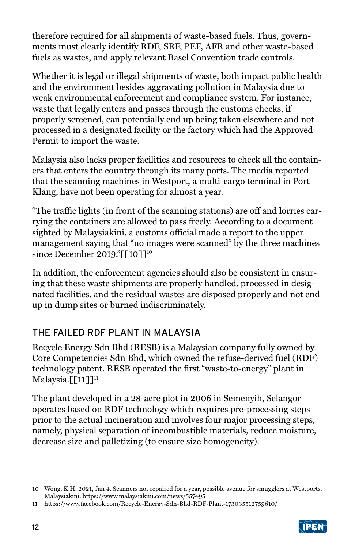<span id="page-11-0"></span>therefore required for all shipments of waste-based fuels. Thus, governments must clearly identify RDF, SRF, PEF, AFR and other waste-based fuels as wastes, and apply relevant Basel Convention trade controls.

Whether it is legal or illegal shipments of waste, both impact public health and the environment besides aggravating pollution in Malaysia due to weak environmental enforcement and compliance system. For instance, waste that legally enters and passes through the customs checks, if properly screened, can potentially end up being taken elsewhere and not processed in a designated facility or the factory which had the Approved Permit to import the waste.

Malaysia also lacks proper facilities and resources to check all the containers that enters the country through its many ports. The media reported that the scanning machines in Westport, a multi-cargo terminal in Port Klang, have not been operating for almost a year.

"The traffic lights (in front of the scanning stations) are off and lorries carrying the containers are allowed to pass freely. According to a document sighted by Malaysiakini, a customs official made a report to the upper management saying that "no images were scanned" by the three machines since December 2019."[[10]]<sup>10</sup>

In addition, the enforcement agencies should also be consistent in ensuring that these waste shipments are properly handled, processed in designated facilities, and the residual wastes are disposed properly and not end up in dump sites or burned indiscriminately.

## THE FAILED RDF PLANT IN MALAYSIA

Recycle Energy Sdn Bhd (RESB) is a Malaysian company fully owned by Core Competencies Sdn Bhd, which owned the refuse-derived fuel (RDF) technology patent. RESB operated the first "waste-to-energy" plant in Malaysia. $[[11]]$ <sup>11</sup>

The plant developed in a 28-acre plot in 2006 in Semenyih, Selangor operates based on RDF technology which requires pre-processing steps prior to the actual incineration and involves four major processing steps, namely, physical separation of incombustible materials, reduce moisture, decrease size and palletizing (to ensure size homogeneity).

<sup>11</sup> https://www.facebook.com/Recycle-Energy-Sdn-Bhd-RDF-Plant-173035512759610/



<sup>10</sup> Wong, K.H. 2021, Jan 4. Scanners not repaired for a year, possible avenue for smugglers at Westports. Malaysiakini. https://www.malaysiakini.com/news/557495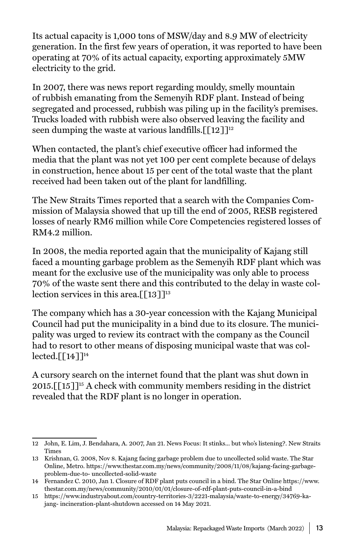Its actual capacity is 1,000 tons of MSW/day and 8.9 MW of electricity generation. In the first few years of operation, it was reported to have been operating at 70% of its actual capacity, exporting approximately 5MW electricity to the grid.

In 2007, there was news report regarding mouldy, smelly mountain of rubbish emanating from the Semenyih RDF plant. Instead of being segregated and processed, rubbish was piling up in the facility's premises. Trucks loaded with rubbish were also observed leaving the facility and seen dumping the waste at various landfills.  $\lceil \lceil 12 \rceil \rceil^{12}$ 

When contacted, the plant's chief executive officer had informed the media that the plant was not yet 100 per cent complete because of delays in construction, hence about 15 per cent of the total waste that the plant received had been taken out of the plant for landfilling.

The New Straits Times reported that a search with the Companies Commission of Malaysia showed that up till the end of 2005, RESB registered losses of nearly RM6 million while Core Competencies registered losses of RM4.2 million.

In 2008, the media reported again that the municipality of Kajang still faced a mounting garbage problem as the Semenyih RDF plant which was meant for the exclusive use of the municipality was only able to process 70% of the waste sent there and this contributed to the delay in waste collection services in this area. $[13]$ <sup>13</sup>

The company which has a 30-year concession with the Kajang Municipal Council had put the municipality in a bind due to its closure. The municipality was urged to review its contract with the company as the Council had to resort to other means of disposing municipal waste that was collected. $\lceil$ [14]]<sup>14</sup>

A cursory search on the internet found that the plant was shut down in 2015. $\lceil 15 \rceil$ <sup>15</sup> A check with community members residing in the district revealed that the RDF plant is no longer in operation.

<sup>12</sup> John, E. Lim, J. Bendahara, A. 2007, Jan 21. News Focus: It stinks... but who's listening?. New Straits Times

<sup>13</sup> Krishnan, G. 2008, Nov 8. Kajang facing garbage problem due to uncollected solid waste. The Star Online, Metro. https://www.thestar.com.my/news/community/2008/11/08/kajang-facing-garbageproblem-due-to- uncollected-solid-waste

<sup>14</sup> Fernandez C. 2010, Jan 1. Closure of RDF plant puts council in a bind. The Star Online https://www. thestar.com.my/news/community/2010/01/01/closure-of-rdf-plant-puts-council-in-a-bind

<sup>15</sup> https://www.industryabout.com/country-territories-3/2221-malaysia/waste-to-energy/34769-kajang- incineration-plant-shutdown accessed on 14 May 2021.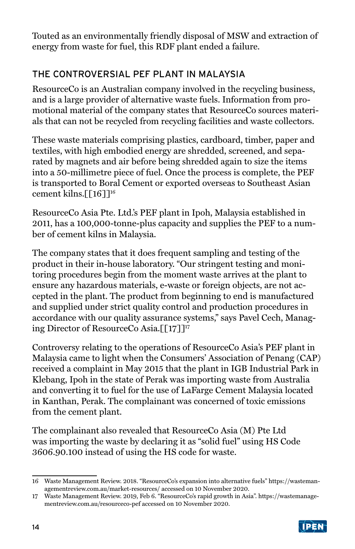<span id="page-13-0"></span>Touted as an environmentally friendly disposal of MSW and extraction of energy from waste for fuel, this RDF plant ended a failure.

## THE CONTROVERSIAL PEF PLANT IN MALAYSIA

ResourceCo is an Australian company involved in the recycling business, and is a large provider of alternative waste fuels. Information from promotional material of the company states that ResourceCo sources materials that can not be recycled from recycling facilities and waste collectors.

These waste materials comprising plastics, cardboard, timber, paper and textiles, with high embodied energy are shredded, screened, and separated by magnets and air before being shredded again to size the items into a 50-millimetre piece of fuel. Once the process is complete, the PEF is transported to Boral Cement or exported overseas to Southeast Asian cement kilns.[[16]]<sup>16</sup>

ResourceCo Asia Pte. Ltd.'s PEF plant in Ipoh, Malaysia established in 2011, has a 100,000-tonne-plus capacity and supplies the PEF to a number of cement kilns in Malaysia.

The company states that it does frequent sampling and testing of the product in their in-house laboratory. "Our stringent testing and monitoring procedures begin from the moment waste arrives at the plant to ensure any hazardous materials, e-waste or foreign objects, are not accepted in the plant. The product from beginning to end is manufactured and supplied under strict quality control and production procedures in accordance with our quality assurance systems," says Pavel Cech, Managing Director of ResourceCo Asia.[[17]]<sup>17</sup>

Controversy relating to the operations of ResourceCo Asia's PEF plant in Malaysia came to light when the Consumers' Association of Penang (CAP) received a complaint in May 2015 that the plant in IGB Industrial Park in Klebang, Ipoh in the state of Perak was importing waste from Australia and converting it to fuel for the use of LaFarge Cement Malaysia located in Kanthan, Perak. The complainant was concerned of toxic emissions from the cement plant.

The complainant also revealed that ResourceCo Asia (M) Pte Ltd was importing the waste by declaring it as "solid fuel" using HS Code 3606.90.100 instead of using the HS code for waste.

<sup>17</sup> Waste Management Review. 2019, Feb 6. "ResourceCo's rapid growth in Asia". https://wastemanagementreview.com.au/resourceco-pef accessed on 10 November 2020.



<sup>16</sup> Waste Management Review. 2018. "ResourceCo's expansion into alternative fuels" https://wastemanagementreview.com.au/market-resources/ accessed on 10 November 2020.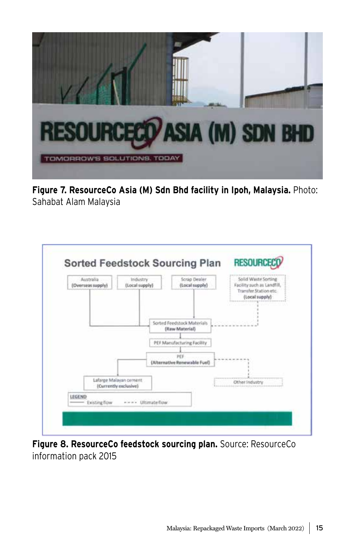

**Figure 7. ResourceCo Asia (M) Sdn Bhd facility in Ipoh, Malaysia.** Photo: Sahabat Alam Malaysia



**Figure 8. ResourceCo feedstock sourcing plan.** Source: ResourceCo information pack 2015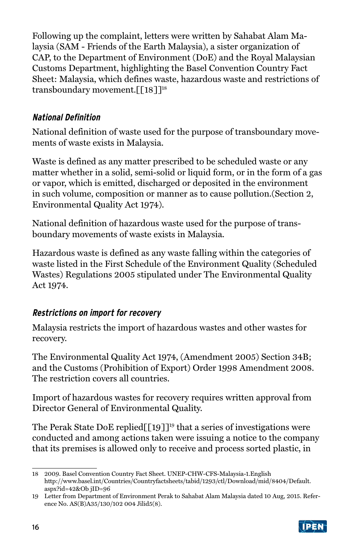<span id="page-15-0"></span>Following up the complaint, letters were written by Sahabat Alam Malaysia (SAM - Friends of the Earth Malaysia), a sister organization of CAP, to the Department of Environment (DoE) and the Royal Malaysian Customs Department, highlighting the Basel Convention Country Fact Sheet: Malaysia, which defines waste, hazardous waste and restrictions of transboundary movement.[[18]]<sup>18</sup>

### **National Definition**

National definition of waste used for the purpose of transboundary movements of waste exists in Malaysia.

Waste is defined as any matter prescribed to be scheduled waste or any matter whether in a solid, semi-solid or liquid form, or in the form of a gas or vapor, which is emitted, discharged or deposited in the environment in such volume, composition or manner as to cause pollution.(Section 2, Environmental Quality Act 1974).

National definition of hazardous waste used for the purpose of transboundary movements of waste exists in Malaysia.

Hazardous waste is defined as any waste falling within the categories of waste listed in the First Schedule of the Environment Quality (Scheduled Wastes) Regulations 2005 stipulated under The Environmental Quality Act 1974.

### **Restrictions on import for recovery**

Malaysia restricts the import of hazardous wastes and other wastes for recovery.

The Environmental Quality Act 1974, (Amendment 2005) Section 34B; and the Customs (Prohibition of Export) Order 1998 Amendment 2008. The restriction covers all countries.

Import of hazardous wastes for recovery requires written approval from Director General of Environmental Quality.

The Perak State DoE replied  $[19]$ <sup>19</sup> that a series of investigations were conducted and among actions taken were issuing a notice to the company that its premises is allowed only to receive and process sorted plastic, in

<sup>19</sup> Letter from Department of Environment Perak to Sahabat Alam Malaysia dated 10 Aug, 2015. Reference No. AS(B)A35/130/102 004 Jilid5(8).



<sup>18</sup> 2009. Basel Convention Country Fact Sheet. UNEP-CHW-CFS-Malaysia-1.English http://www.basel.int/Countries/Countryfactsheets/tabid/1293/ctl/Download/mid/8404/Default. aspx?id=42&Ob jID=96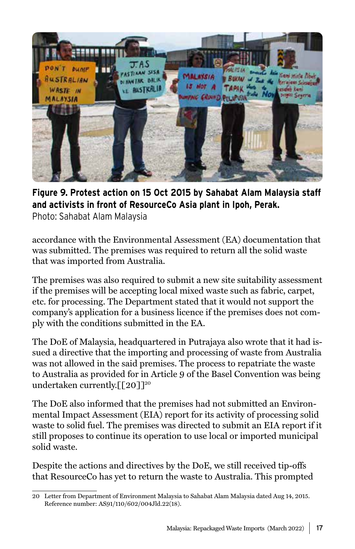

## **Figure 9. Protest action on 15 Oct 2015 by Sahabat Alam Malaysia staff and activists in front of ResourceCo Asia plant in Ipoh, Perak.**

Photo: Sahabat Alam Malaysia

accordance with the Environmental Assessment (EA) documentation that was submitted. The premises was required to return all the solid waste that was imported from Australia.

The premises was also required to submit a new site suitability assessment if the premises will be accepting local mixed waste such as fabric, carpet, etc. for processing. The Department stated that it would not support the company's application for a business licence if the premises does not comply with the conditions submitted in the EA.

The DoE of Malaysia, headquartered in Putrajaya also wrote that it had issued a directive that the importing and processing of waste from Australia was not allowed in the said premises. The process to repatriate the waste to Australia as provided for in Article 9 of the Basel Convention was being undertaken currently. $\left[\begin{bmatrix}20\end{bmatrix}\right]^{20}$ 

The DoE also informed that the premises had not submitted an Environmental Impact Assessment (EIA) report for its activity of processing solid waste to solid fuel. The premises was directed to submit an EIA report if it still proposes to continue its operation to use local or imported municipal solid waste.

Despite the actions and directives by the DoE, we still received tip-offs that ResourceCo has yet to return the waste to Australia. This prompted

<sup>20</sup> Letter from Department of Environment Malaysia to Sahabat Alam Malaysia dated Aug 14, 2015. Reference number: AS91/110/602/004Jld.22(18).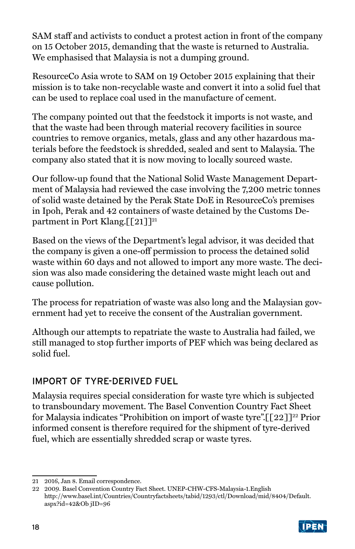<span id="page-17-0"></span>SAM staff and activists to conduct a protest action in front of the company on 15 October 2015, demanding that the waste is returned to Australia. We emphasised that Malaysia is not a dumping ground.

ResourceCo Asia wrote to SAM on 19 October 2015 explaining that their mission is to take non-recyclable waste and convert it into a solid fuel that can be used to replace coal used in the manufacture of cement.

The company pointed out that the feedstock it imports is not waste, and that the waste had been through material recovery facilities in source countries to remove organics, metals, glass and any other hazardous materials before the feedstock is shredded, sealed and sent to Malaysia. The company also stated that it is now moving to locally sourced waste.

Our follow-up found that the National Solid Waste Management Department of Malaysia had reviewed the case involving the 7,200 metric tonnes of solid waste detained by the Perak State DoE in ResourceCo's premises in Ipoh, Perak and 42 containers of waste detained by the Customs Department in Port Klang. $\lceil \lceil 21 \rceil \rceil^{21}$ 

Based on the views of the Department's legal advisor, it was decided that the company is given a one-off permission to process the detained solid waste within 60 days and not allowed to import any more waste. The decision was also made considering the detained waste might leach out and cause pollution.

The process for repatriation of waste was also long and the Malaysian government had yet to receive the consent of the Australian government.

Although our attempts to repatriate the waste to Australia had failed, we still managed to stop further imports of PEF which was being declared as solid fuel.

## IMPORT OF TYRE-DERIVED FUEL

Malaysia requires special consideration for waste tyre which is subjected to transboundary movement. The Basel Convention Country Fact Sheet for Malaysia indicates "Prohibition on import of waste tyre". $\left[\frac{22}{2}\right]^{22}$  Prior informed consent is therefore required for the shipment of tyre-derived fuel, which are essentially shredded scrap or waste tyres.

<sup>22</sup> 2009. Basel Convention Country Fact Sheet. UNEP-CHW-CFS-Malaysia-1.English http://www.basel.int/Countries/Countryfactsheets/tabid/1293/ctl/Download/mid/8404/Default. aspx?id=42&Ob jID=96



<sup>21</sup> 2016, Jan 8. Email correspondence.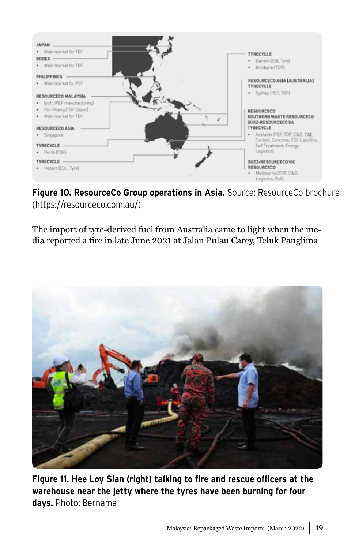

**Figure 10. ResourceCo Group operations in Asia.** Source: ResourceCo brochure (https://resourceco.com.au/)

The import of tyre-derived fuel from Australia came to light when the media reported a fire in late June 2021 at Jalan Pulau Carey, Teluk Panglima



**Figure 11. Hee Loy Sian (right) talking to fire and rescue officers at the warehouse near the jetty where the tyres have been burning for four days.** Photo: Bernama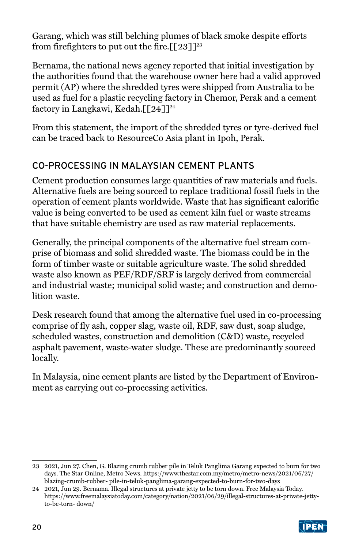<span id="page-19-0"></span>Garang, which was still belching plumes of black smoke despite efforts from firefighters to put out the fire.  $\lceil 23 \rceil^{23}$ 

Bernama, the national news agency reported that initial investigation by the authorities found that the warehouse owner here had a valid approved permit (AP) where the shredded tyres were shipped from Australia to be used as fuel for a plastic recycling factory in Chemor, Perak and a cement factory in Langkawi, Kedah. $\lceil 24 \rceil^{24}$ 

From this statement, the import of the shredded tyres or tyre-derived fuel can be traced back to ResourceCo Asia plant in Ipoh, Perak.

## CO-PROCESSING IN MALAYSIAN CEMENT PLANTS

Cement production consumes large quantities of raw materials and fuels. Alternative fuels are being sourced to replace traditional fossil fuels in the operation of cement plants worldwide. Waste that has significant calorific value is being converted to be used as cement kiln fuel or waste streams that have suitable chemistry are used as raw material replacements.

Generally, the principal components of the alternative fuel stream comprise of biomass and solid shredded waste. The biomass could be in the form of timber waste or suitable agriculture waste. The solid shredded waste also known as PEF/RDF/SRF is largely derived from commercial and industrial waste; municipal solid waste; and construction and demolition waste.

Desk research found that among the alternative fuel used in co-processing comprise of fly ash, copper slag, waste oil, RDF, saw dust, soap sludge, scheduled wastes, construction and demolition (C&D) waste, recycled asphalt pavement, waste-water sludge. These are predominantly sourced locally.

In Malaysia, nine cement plants are listed by the Department of Environment as carrying out co-processing activities.

<sup>24</sup> 2021, Jun 29. Bernama. Illegal structures at private jetty to be torn down. Free Malaysia Today. https://www.freemalaysiatoday.com/category/nation/2021/06/29/illegal-structures-at-private-jettyto-be-torn- down/



<sup>23</sup> 2021, Jun 27. Chen, G. Blazing crumb rubber pile in Teluk Panglima Garang expected to burn for two days. The Star Online, Metro News. https://www.thestar.com.my/metro/metro-news/2021/06/27/ blazing-crumb-rubber- pile-in-teluk-panglima-garang-expected-to-burn-for-two-days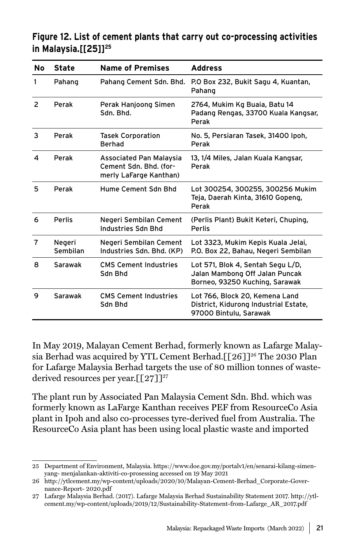### **Figure 12. List of cement plants that carry out co-processing activities in Malaysia.[[25]]25**

| No             | <b>State</b>       | <b>Name of Premises</b>                                                     | <b>Address</b>                                                                                        |
|----------------|--------------------|-----------------------------------------------------------------------------|-------------------------------------------------------------------------------------------------------|
| 1              | Pahang             | Pahang Cement Sdn. Bhd.                                                     | P.O Box 232, Bukit Sagu 4, Kuantan,<br>Pahang                                                         |
| $\overline{2}$ | Perak              | Perak Hanjoong Simen<br>Sdn. Bhd.                                           | 2764, Mukim Kg Buaia, Batu 14<br>Padang Rengas, 33700 Kuala Kangsar,<br>Perak                         |
| 3              | Perak              | <b>Tasek Corporation</b><br>Berhad                                          | No. 5, Persiaran Tasek, 31400 Ipoh,<br>Perak                                                          |
| 4              | Perak              | Associated Pan Malaysia<br>Cement Sdn. Bhd. (for-<br>merly LaFarge Kanthan) | 13, 1/4 Miles, Jalan Kuala Kangsar,<br>Perak                                                          |
| 5              | Perak              | Hume Cement Sdn Bhd                                                         | Lot 300254, 300255, 300256 Mukim<br>Teja, Daerah Kinta, 31610 Gopeng,<br>Perak                        |
| 6              | Perlis             | Negeri Sembilan Cement<br>Industries Sdn Bhd                                | (Perlis Plant) Bukit Keteri, Chuping,<br><b>Perlis</b>                                                |
| 7              | Negeri<br>Sembilan | Negeri Sembilan Cement<br>Industries Sdn. Bhd. (KP)                         | Lot 3323, Mukim Kepis Kuala Jelai,<br>P.O. Box 22, Bahau, Negeri Sembilan                             |
| 8              | Sarawak            | <b>CMS Cement Industries</b><br>Sdn Bhd                                     | Lot 571, Blok 4, Sentah Segu L/D,<br>Jalan Mambong Off Jalan Puncak<br>Borneo, 93250 Kuching, Sarawak |
| 9              | Sarawak            | <b>CMS Cement Industries</b><br>Sdn Bhd                                     | Lot 766, Block 20, Kemena Land<br>District, Kidurong Industrial Estate,<br>97000 Bintulu, Sarawak     |

In May 2019, Malayan Cement Berhad, formerly known as Lafarge Malaysia Berhad was acquired by YTL Cement Berhad.[[26]]<sup>26</sup> The 2030 Plan for Lafarge Malaysia Berhad targets the use of 80 million tonnes of wastederived resources per year.  $\lceil 27 \rceil^{27}$ 

The plant run by Associated Pan Malaysia Cement Sdn. Bhd. which was formerly known as LaFarge Kanthan receives PEF from ResourceCo Asia plant in Ipoh and also co-processes tyre-derived fuel from Australia. The ResourceCo Asia plant has been using local plastic waste and imported

<sup>25</sup> Department of Environment, Malaysia. https://www.doe.gov.my/portalv1/en/senarai-kilang-simenyang- menjalankan-aktiviti-co-prosessing accessed on 19 May 2021

<sup>26</sup> http://ytlcement.my/wp-content/uploads/2020/10/Malayan-Cement-Berhad\_Corporate-Governance-Report- 2020.pdf

<sup>27</sup> Lafarge Malaysia Berhad. (2017). Lafarge Malaysia Berhad Sustainability Statement 2017. http://ytlcement.my/wp-content/uploads/2019/12/Sustainability-Statement-from-Lafarge\_AR\_2017.pdf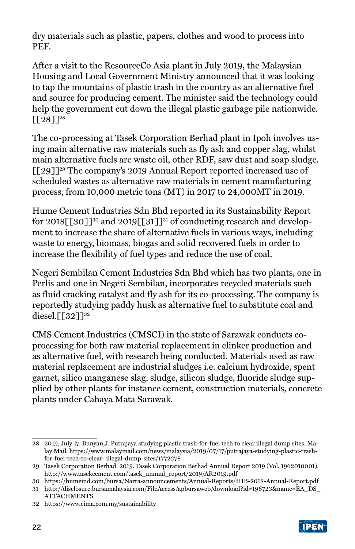dry materials such as plastic, papers, clothes and wood to process into PEF.

After a visit to the ResourceCo Asia plant in July 2019, the Malaysian Housing and Local Government Ministry announced that it was looking to tap the mountains of plastic trash in the country as an alternative fuel and source for producing cement. The minister said the technology could help the government cut down the illegal plastic garbage pile nationwide.  $\Gamma$ [28]]<sup>28</sup>

The co-processing at Tasek Corporation Berhad plant in Ipoh involves using main alternative raw materials such as fly ash and copper slag, whilst main alternative fuels are waste oil, other RDF, saw dust and soap sludge. [[29]]29 The company's 2019 Annual Report reported increased use of scheduled wastes as alternative raw materials in cement manufacturing process, from 10,000 metric tons (MT) in 2017 to 24,000MT in 2019.

Hume Cement Industries Sdn Bhd reported in its Sustainability Report for 2018 $\lceil 30\rceil$ <sup>30</sup> and 2019 $\lceil 31\rceil$ <sup>31</sup> of conducting research and development to increase the share of alternative fuels in various ways, including waste to energy, biomass, biogas and solid recovered fuels in order to increase the flexibility of fuel types and reduce the use of coal.

Negeri Sembilan Cement Industries Sdn Bhd which has two plants, one in Perlis and one in Negeri Sembilan, incorporates recycled materials such as fluid cracking catalyst and fly ash for its co-processing. The company is reportedly studying paddy husk as alternative fuel to substitute coal and diesel.<sup>[[32]]32</sup>

CMS Cement Industries (CMSCI) in the state of Sarawak conducts coprocessing for both raw material replacement in clinker production and as alternative fuel, with research being conducted. Materials used as raw material replacement are industrial sludges i.e. calcium hydroxide, spent garnet, silico manganese slag, sludge, silicon sludge, fluoride sludge supplied by other plants for instance cement, construction materials, concrete plants under Cahaya Mata Sarawak.

<sup>28</sup> 2019, July 17. Bunyan,J. Putrajaya studying plastic trash-for-fuel tech to clear illegal dump sites. Malay Mail. https://www.malaymail.com/news/malaysia/2019/07/17/putrajaya-studying-plastic-trashfor-fuel-tech-to-clear- illegal-dump-sites/1772278

<sup>29</sup> Tasek Corporation Berhad. 2019. Tasek Corporation Berhad Annual Report 2019 (Vol. 1962010001). http://www.tasekcement.com/tasek\_annual\_report/2019/AR2019.pdf

<sup>30</sup> https://humeind.com/bursa/Narra-announcements/Annual-Reports/HIB-2018-Annual-Report.pdf

<sup>31</sup> http://disclosure.bursamalaysia.com/FileAccess/apbursaweb/download?id=196723&name=EA\_DS\_ **ATTACHMENTS** 

<sup>32</sup> https://www.cima.com.my/sustainability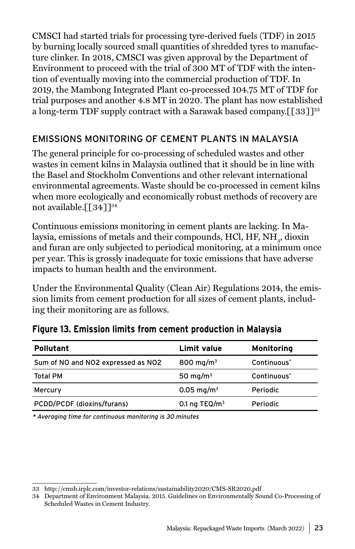<span id="page-22-0"></span>CMSCI had started trials for processing tyre-derived fuels (TDF) in 2015 by burning locally sourced small quantities of shredded tyres to manufacture clinker. In 2018, CMSCI was given approval by the Department of Environment to proceed with the trial of 300 MT of TDF with the intention of eventually moving into the commercial production of TDF. In 2019, the Mambong Integrated Plant co-processed 104.75 MT of TDF for trial purposes and another 4.8 MT in 2020. The plant has now established a long-term TDF supply contract with a Sarawak based company.  $[533]^{33}$ 

### EMISSIONS MONITORING OF CEMENT PLANTS IN MALAYSIA

The general principle for co-processing of scheduled wastes and other wastes in cement kilns in Malaysia outlined that it should be in line with the Basel and Stockholm Conventions and other relevant international environmental agreements. Waste should be co-processed in cement kilns when more ecologically and economically robust methods of recovery are not available.[[34]]<sup>34</sup>

Continuous emissions monitoring in cement plants are lacking. In Malaysia, emissions of metals and their compounds, HCl, HF,  $\mathrm{NH}_3^{}$ , dioxin and furan are only subjected to periodical monitoring, at a minimum once per year. This is grossly inadequate for toxic emissions that have adverse impacts to human health and the environment.

Under the Environmental Quality (Clean Air) Regulations 2014, the emission limits from cement production for all sizes of cement plants, including their monitoring are as follows.

| <b>Pollutant</b>                   | Limit value            | Monitoring              |
|------------------------------------|------------------------|-------------------------|
| Sum of NO and NO2 expressed as NO2 | 800 mg/m <sup>3</sup>  | Continuous <sup>*</sup> |
| Total PM                           | 50 mg/m $3$            | Continuous <sup>*</sup> |
| Mercury                            | 0.05 mg/m <sup>3</sup> | Periodic                |
| PCDD/PCDF (dioxins/furans)         | 0.1 ng TEQ/ $m3$       | Periodic                |

#### **Figure 13. Emission limits from cement production in Malaysia**

\* Averaging time for continuous monitoring is 30 minutes

<sup>33</sup> http://cmsb.irplc.com/investor-relations/sustainability2020/CMS-SR2020.pdf

<sup>34</sup> Department of Environment Malaysia. 2015. Guidelines on Environmentally Sound Co-Processing of Scheduled Wastes in Cement Industry.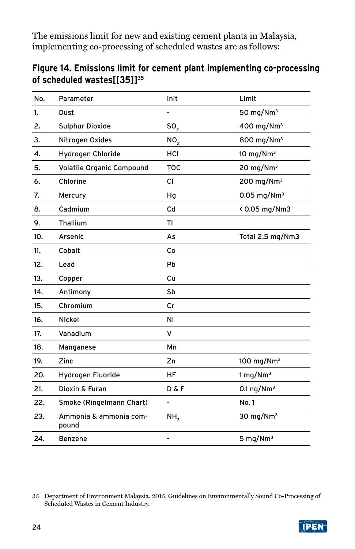The emissions limit for new and existing cement plants in Malaysia, implementing co-processing of scheduled wastes are as follows:

## **Figure 14. Emissions limit for cement plant implementing co-processing of scheduled wastes[[35]]35**

| No. | Parameter                       | Init            | Limit                     |
|-----|---------------------------------|-----------------|---------------------------|
| 1.  | Dust                            |                 | 50 mg/Nm $3$              |
| 2.  | Sulphur Dioxide                 | SO <sub>2</sub> | 400 mg/Nm <sup>3</sup>    |
| 3.  | Nitrogen Oxides                 | NO <sub>2</sub> | 800 mg/Nm <sup>3</sup>    |
| 4.  | Hydrogen Chloride               | HCI             | 10 mg/Nm $3$              |
| 5.  | Volatile Organic Compound       | <b>TOC</b>      | 20 mg/Nm $3$              |
| 6.  | Chlorine                        | CI.             | $200$ mg/Nm <sup>3</sup>  |
| 7.  | Mercury                         | Hq              | $0.05$ mg/Nm <sup>3</sup> |
| 8.  | Cadmium                         | Cd              | < 0.05 mg/Nm3             |
| 9.  | Thallium                        | ΤI              |                           |
| 10. | Arsenic                         | As              | Total 2.5 mg/Nm3          |
| 11. | Cobalt                          | Co              |                           |
| 12. | Lead                            | Pb              |                           |
| 13. | Copper                          | Cu              |                           |
| 14. | Antimony                        | Sb              |                           |
| 15. | Chromium                        | cr              |                           |
| 16. | Nickel                          | Ni              |                           |
| 17. | Vanadium                        | v               |                           |
| 18. | Manganese                       | Mn              |                           |
| 19. | Zinc                            | Zn              | 100 mg/Nm <sup>3</sup>    |
| 20. | Hydrogen Fluoride               | HF              | $1$ mg/Nm <sup>3</sup>    |
| 21. | Dioxin & Furan                  | D & F           | 0.1 ng/Nm <sup>3</sup>    |
| 22. | Smoke (Ringelmann Chart)        | $\blacksquare$  | No. 1                     |
| 23. | Ammonia & ammonia com-<br>pound | NH <sub>3</sub> | 30 mg/Nm $3$              |
| 24. | <b>Benzene</b>                  |                 | 5 mg/N $m3$               |

<sup>35</sup> Department of Environment Malaysia. 2015. Guidelines on Environmentally Sound Co-Processing of Scheduled Wastes in Cement Industry.

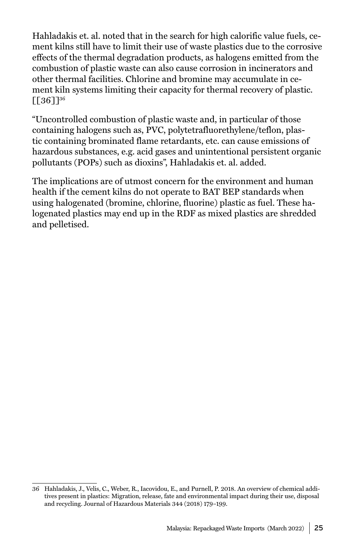Hahladakis et. al. noted that in the search for high calorific value fuels, cement kilns still have to limit their use of waste plastics due to the corrosive effects of the thermal degradation products, as halogens emitted from the combustion of plastic waste can also cause corrosion in incinerators and other thermal facilities. Chlorine and bromine may accumulate in cement kiln systems limiting their capacity for thermal recovery of plastic.  $[136]$ <sup>36</sup>

"Uncontrolled combustion of plastic waste and, in particular of those containing halogens such as, PVC, polytetrafluorethylene/teflon, plastic containing brominated flame retardants, etc. can cause emissions of hazardous substances, e.g. acid gases and unintentional persistent organic pollutants (POPs) such as dioxins", Hahladakis et. al. added.

The implications are of utmost concern for the environment and human health if the cement kilns do not operate to BAT BEP standards when using halogenated (bromine, chlorine, fluorine) plastic as fuel. These halogenated plastics may end up in the RDF as mixed plastics are shredded and pelletised.

<sup>36</sup> Hahladakis, J., Velis, C., Weber, R., Iacovidou, E., and Purnell, P. 2018. An overview of chemical additives present in plastics: Migration, release, fate and environmental impact during their use, disposal and recycling. Journal of Hazardous Materials 344 (2018) 179–199.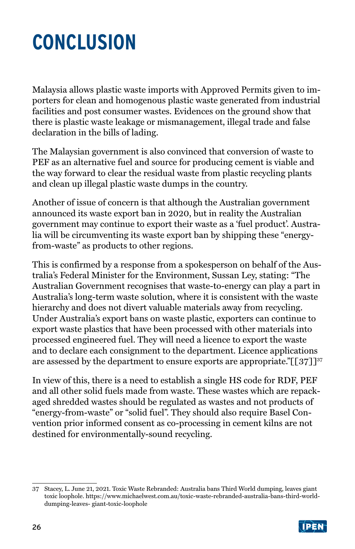## <span id="page-25-0"></span>**CONCLUSION**

Malaysia allows plastic waste imports with Approved Permits given to importers for clean and homogenous plastic waste generated from industrial facilities and post consumer wastes. Evidences on the ground show that there is plastic waste leakage or mismanagement, illegal trade and false declaration in the bills of lading.

The Malaysian government is also convinced that conversion of waste to PEF as an alternative fuel and source for producing cement is viable and the way forward to clear the residual waste from plastic recycling plants and clean up illegal plastic waste dumps in the country.

Another of issue of concern is that although the Australian government announced its waste export ban in 2020, but in reality the Australian government may continue to export their waste as a 'fuel product'. Australia will be circumventing its waste export ban by shipping these "energyfrom-waste" as products to other regions.

This is confirmed by a response from a spokesperson on behalf of the Australia's Federal Minister for the Environment, Sussan Ley, stating: "The Australian Government recognises that waste-to-energy can play a part in Australia's long-term waste solution, where it is consistent with the waste hierarchy and does not divert valuable materials away from recycling. Under Australia's export bans on waste plastic, exporters can continue to export waste plastics that have been processed with other materials into processed engineered fuel. They will need a licence to export the waste and to declare each consignment to the department. Licence applications are assessed by the department to ensure exports are appropriate." $[[37]]^{37}$ 

In view of this, there is a need to establish a single HS code for RDF, PEF and all other solid fuels made from waste. These wastes which are repackaged shredded wastes should be regulated as wastes and not products of "energy-from-waste" or "solid fuel". They should also require Basel Convention prior informed consent as co-processing in cement kilns are not destined for environmentally-sound recycling.

<sup>37</sup> Stacey, L. June 21, 2021. Toxic Waste Rebranded: Australia bans Third World dumping, leaves giant toxic loophole. https://www.michaelwest.com.au/toxic-waste-rebranded-australia-bans-third-worlddumping-leaves- giant-toxic-loophole